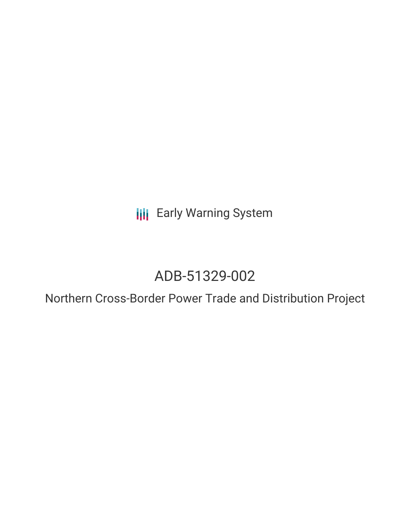**III** Early Warning System

# ADB-51329-002

Northern Cross-Border Power Trade and Distribution Project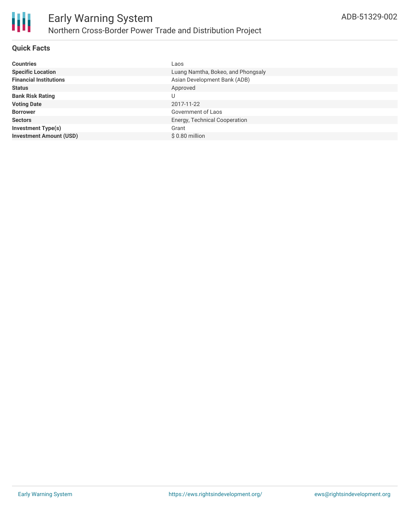

### **Quick Facts**

| <b>Countries</b>               | Laos                               |
|--------------------------------|------------------------------------|
| <b>Specific Location</b>       | Luang Namtha, Bokeo, and Phongsaly |
| <b>Financial Institutions</b>  | Asian Development Bank (ADB)       |
| <b>Status</b>                  | Approved                           |
| <b>Bank Risk Rating</b>        |                                    |
| <b>Voting Date</b>             | 2017-11-22                         |
| <b>Borrower</b>                | Government of Laos                 |
| <b>Sectors</b>                 | Energy, Technical Cooperation      |
| <b>Investment Type(s)</b>      | Grant                              |
| <b>Investment Amount (USD)</b> | $$0.80$ million                    |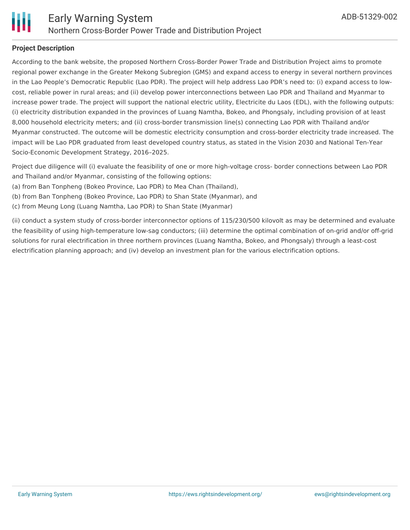

# **Project Description**

According to the bank website, the proposed Northern Cross-Border Power Trade and Distribution Project aims to promote regional power exchange in the Greater Mekong Subregion (GMS) and expand access to energy in several northern provinces in the Lao People's Democratic Republic (Lao PDR). The project will help address Lao PDR's need to: (i) expand access to lowcost, reliable power in rural areas; and (ii) develop power interconnections between Lao PDR and Thailand and Myanmar to increase power trade. The project will support the national electric utility, Electricite du Laos (EDL), with the following outputs: (i) electricity distribution expanded in the provinces of Luang Namtha, Bokeo, and Phongsaly, including provision of at least 8,000 household electricity meters; and (ii) cross-border transmission line(s) connecting Lao PDR with Thailand and/or Myanmar constructed. The outcome will be domestic electricity consumption and cross-border electricity trade increased. The impact will be Lao PDR graduated from least developed country status, as stated in the Vision 2030 and National Ten-Year Socio-Economic Development Strategy, 2016–2025.

Project due diligence will (i) evaluate the feasibility of one or more high-voltage cross- border connections between Lao PDR and Thailand and/or Myanmar, consisting of the following options:

- (a) from Ban Tonpheng (Bokeo Province, Lao PDR) to Mea Chan (Thailand),
- (b) from Ban Tonpheng (Bokeo Province, Lao PDR) to Shan State (Myanmar), and
- (c) from Meung Long (Luang Namtha, Lao PDR) to Shan State (Myanmar)

(ii) conduct a system study of cross-border interconnector options of 115/230/500 kilovolt as may be determined and evaluate the feasibility of using high-temperature low-sag conductors; (iii) determine the optimal combination of on-grid and/or off-grid solutions for rural electrification in three northern provinces (Luang Namtha, Bokeo, and Phongsaly) through a least-cost electrification planning approach; and (iv) develop an investment plan for the various electrification options.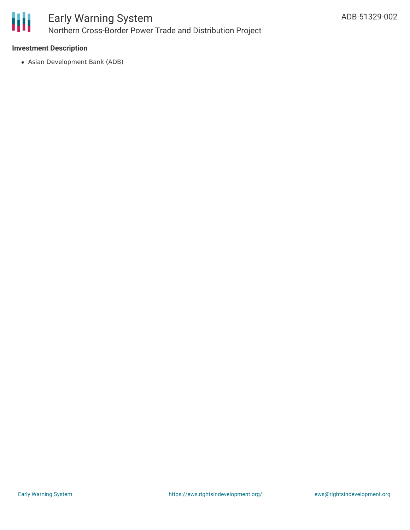

# **Investment Description**

Asian Development Bank (ADB)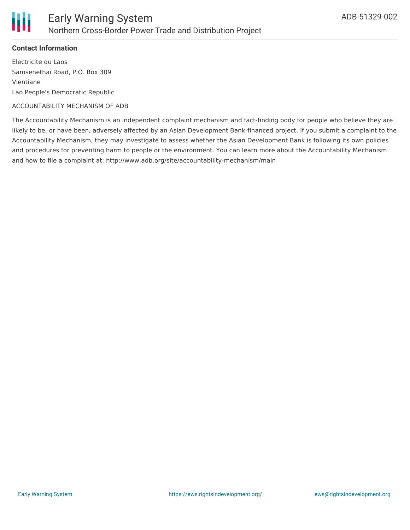

## **Contact Information**

Electricite du Laos Samsenethai Road, P.O. Box 309 Vientiane Lao People's Democratic Republic

#### ACCOUNTABILITY MECHANISM OF ADB

The Accountability Mechanism is an independent complaint mechanism and fact-finding body for people who believe they are likely to be, or have been, adversely affected by an Asian Development Bank-financed project. If you submit a complaint to the Accountability Mechanism, they may investigate to assess whether the Asian Development Bank is following its own policies and procedures for preventing harm to people or the environment. You can learn more about the Accountability Mechanism and how to file a complaint at: http://www.adb.org/site/accountability-mechanism/main